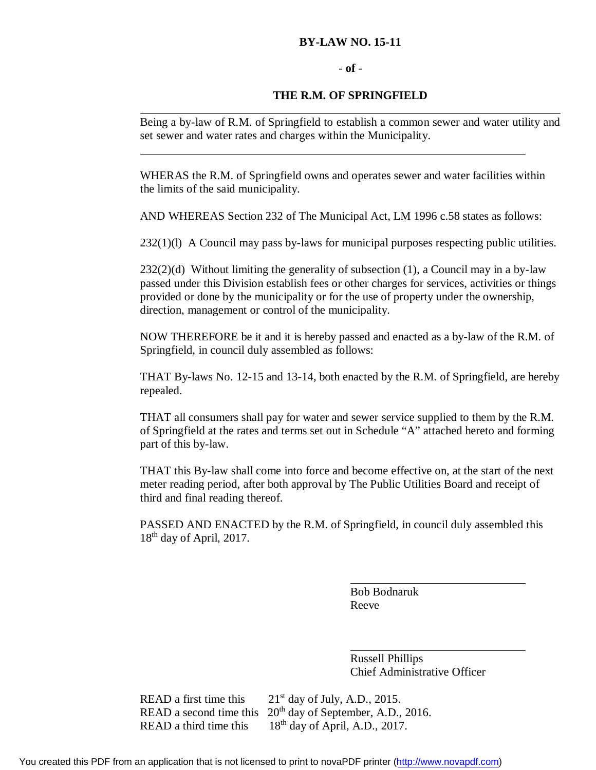### **BY-LAW NO. 15-11**

#### - **of** -

### **THE R.M. OF SPRINGFIELD**

Being a by-law of R.M. of Springfield to establish a common sewer and water utility and set sewer and water rates and charges within the Municipality.

WHERAS the R.M. of Springfield owns and operates sewer and water facilities within the limits of the said municipality.

AND WHEREAS Section 232 of The Municipal Act, LM 1996 c.58 states as follows:

232(1)(l) A Council may pass by-laws for municipal purposes respecting public utilities.

 $232(2)(d)$  Without limiting the generality of subsection (1), a Council may in a by-law passed under this Division establish fees or other charges for services, activities or things provided or done by the municipality or for the use of property under the ownership, direction, management or control of the municipality.

NOW THEREFORE be it and it is hereby passed and enacted as a by-law of the R.M. of Springfield, in council duly assembled as follows:

THAT By-laws No. 12-15 and 13-14, both enacted by the R.M. of Springfield, are hereby repealed.

THAT all consumers shall pay for water and sewer service supplied to them by the R.M. of Springfield at the rates and terms set out in Schedule "A" attached hereto and forming part of this by-law.

THAT this By-law shall come into force and become effective on, at the start of the next meter reading period, after both approval by The Public Utilities Board and receipt of third and final reading thereof.

PASSED AND ENACTED by the R.M. of Springfield, in council duly assembled this  $18<sup>th</sup>$  day of April, 2017.

> Bob Bodnaruk Reeve

Russell Phillips Chief Administrative Officer

READ a first time this  $21<sup>st</sup>$  day of July, A.D., 2015. READ a second time this  $20<sup>th</sup>$  day of September, A.D., 2016. READ a third time this  $18<sup>th</sup>$  day of April, A.D., 2017.

You created this PDF from an application that is not licensed to print to novaPDF printer ([http://www.novapdf.com\)](http://www.novapdf.com/)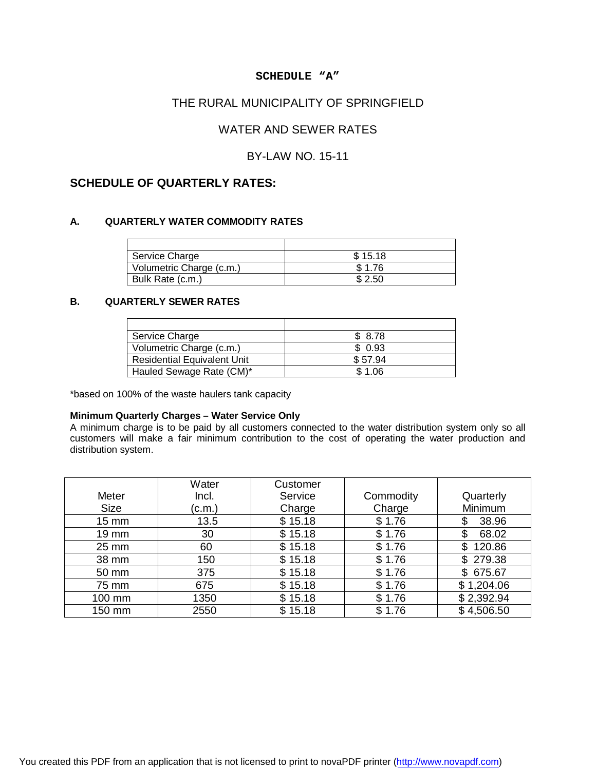### **SCHEDULE "A"**

### THE RURAL MUNICIPALITY OF SPRINGFIELD

## WATER AND SEWER RATES

### BY-LAW NO. 15-11

### **SCHEDULE OF QUARTERLY RATES:**

#### **A. QUARTERLY WATER COMMODITY RATES**

| Service Charge           | \$15.18 |
|--------------------------|---------|
| Volumetric Charge (c.m.) | \$1.76  |
| Bulk Rate (c.m.)         | \$2.50  |

### **B. QUARTERLY SEWER RATES**

| Service Charge                     | \$8.78  |
|------------------------------------|---------|
| Volumetric Charge (c.m.)           | \$0.93  |
| <b>Residential Equivalent Unit</b> | \$57.94 |
| Hauled Sewage Rate (CM)*           | \$1.06  |

\*based on 100% of the waste haulers tank capacity

#### **Minimum Quarterly Charges – Water Service Only**

A minimum charge is to be paid by all customers connected to the water distribution system only so all customers will make a fair minimum contribution to the cost of operating the water production and distribution system.

|                   | Water  | Customer |           |              |
|-------------------|--------|----------|-----------|--------------|
| Meter             | Incl.  | Service  | Commodity | Quarterly    |
| <b>Size</b>       | (c.m.) | Charge   | Charge    | Minimum      |
| 15 mm             | 13.5   | \$15.18  | \$1.76    | 38.96<br>\$  |
| 19 mm             | 30     | \$15.18  | \$1.76    | \$<br>68.02  |
| $25 \, \text{mm}$ | 60     | \$15.18  | \$1.76    | 120.86<br>\$ |
| 38 mm             | 150    | \$15.18  | \$1.76    | \$279.38     |
| 50 mm             | 375    | \$15.18  | \$1.76    | \$675.67     |
| 75 mm             | 675    | \$15.18  | \$1.76    | \$1,204.06   |
| 100 mm            | 1350   | \$15.18  | \$1.76    | \$2,392.94   |
| 150 mm            | 2550   | \$15.18  | \$1.76    | \$4,506.50   |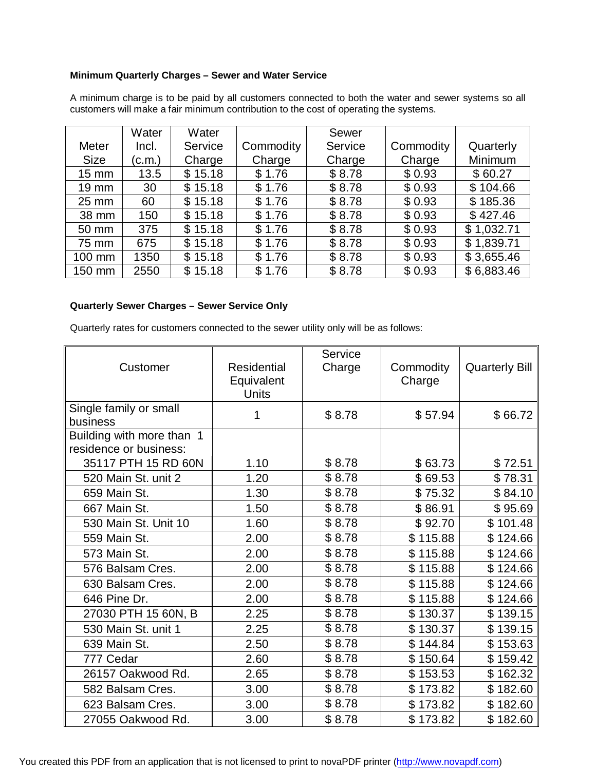### **Minimum Quarterly Charges – Sewer and Water Service**

|                   | Water  | Water   |           | Sewer   |           |            |
|-------------------|--------|---------|-----------|---------|-----------|------------|
| <b>Meter</b>      | Incl.  | Service | Commodity | Service | Commodity | Quarterly  |
| <b>Size</b>       | (c.m.) | Charge  | Charge    | Charge  | Charge    | Minimum    |
| $15 \text{ mm}$   | 13.5   | \$15.18 | \$1.76    | \$8.78  | \$0.93    | \$60.27    |
| $19 \, \text{mm}$ | 30     | \$15.18 | \$1.76    | \$8.78  | \$0.93    | \$104.66   |
| $25 \text{ mm}$   | 60     | \$15.18 | \$1.76    | \$8.78  | \$0.93    | \$185.36   |
| 38 mm             | 150    | \$15.18 | \$1.76    | \$8.78  | \$0.93    | \$427.46   |
| 50 mm             | 375    | \$15.18 | \$1.76    | \$8.78  | \$0.93    | \$1,032.71 |
| 75 mm             | 675    | \$15.18 | \$1.76    | \$8.78  | \$0.93    | \$1,839.71 |
| 100 mm            | 1350   | \$15.18 | \$1.76    | \$8.78  | \$0.93    | \$3,655.46 |
| 150 mm            | 2550   | \$15.18 | \$1.76    | \$8.78  | \$0.93    | \$6,883.46 |

A minimum charge is to be paid by all customers connected to both the water and sewer systems so all customers will make a fair minimum contribution to the cost of operating the systems.

### **Quarterly Sewer Charges – Sewer Service Only**

Quarterly rates for customers connected to the sewer utility only will be as follows:

| Customer                                            | <b>Residential</b><br>Equivalent<br><b>Units</b> | Service<br>Charge | Commodity<br>Charge | <b>Quarterly Bill</b> |
|-----------------------------------------------------|--------------------------------------------------|-------------------|---------------------|-----------------------|
| Single family or small<br>business                  | 1                                                | \$8.78            | \$57.94             | \$66.72               |
| Building with more than 1<br>residence or business: |                                                  |                   |                     |                       |
| 35117 PTH 15 RD 60N                                 | 1.10                                             | \$8.78            | \$63.73             | \$72.51               |
| 520 Main St. unit 2                                 | 1.20                                             | \$8.78            | \$69.53             | \$78.31               |
| 659 Main St.                                        | 1.30                                             | \$8.78            | \$75.32             | \$84.10               |
| 667 Main St.                                        | 1.50                                             | \$8.78            | \$86.91             | \$95.69               |
| 530 Main St. Unit 10                                | 1.60                                             | \$8.78            | \$92.70             | \$101.48              |
| 559 Main St.                                        | 2.00                                             | \$8.78            | \$115.88            | \$124.66              |
| 573 Main St.                                        | 2.00                                             | \$8.78            | \$115.88            | \$124.66              |
| 576 Balsam Cres.                                    | 2.00                                             | \$8.78            | \$115.88            | \$124.66              |
| 630 Balsam Cres.                                    | 2.00                                             | \$8.78            | \$115.88            | \$124.66              |
| 646 Pine Dr.                                        | 2.00                                             | \$8.78            | \$115.88            | \$124.66              |
| 27030 PTH 15 60N, B                                 | 2.25                                             | \$8.78            | \$130.37            | \$139.15              |
| 530 Main St. unit 1                                 | 2.25                                             | \$8.78            | \$130.37            | \$139.15              |
| 639 Main St.                                        | 2.50                                             | \$8.78            | \$144.84            | \$153.63              |
| 777 Cedar                                           | 2.60                                             | \$8.78            | \$150.64            | \$159.42              |
| 26157 Oakwood Rd.                                   | 2.65                                             | \$8.78            | \$153.53            | \$162.32              |
| 582 Balsam Cres.                                    | 3.00                                             | \$8.78            | \$173.82            | \$182.60              |
| 623 Balsam Cres.                                    | 3.00                                             | \$8.78            | \$173.82            | \$182.60              |
| 27055 Oakwood Rd.                                   | 3.00                                             | \$8.78            | \$173.82            | \$182.60              |

You created this PDF from an application that is not licensed to print to novaPDF printer ([http://www.novapdf.com\)](http://www.novapdf.com/)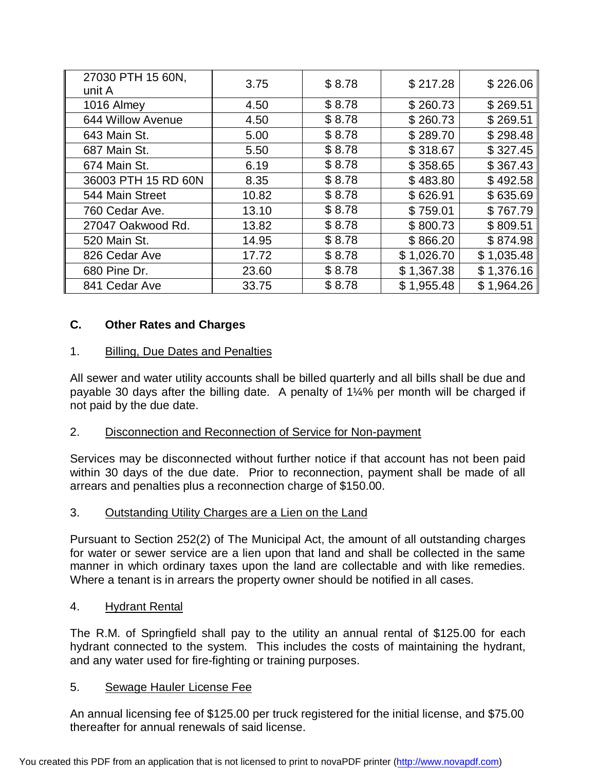| 27030 PTH 15 60N,<br>unit A | 3.75  | \$8.78 | \$217.28   | \$226.06   |
|-----------------------------|-------|--------|------------|------------|
| 1016 Almey                  | 4.50  | \$8.78 | \$260.73   | \$269.51   |
| 644 Willow Avenue           | 4.50  | \$8.78 | \$260.73   | \$269.51   |
| 643 Main St.                | 5.00  | \$8.78 | \$289.70   | \$298.48   |
| 687 Main St.                | 5.50  | \$8.78 | \$318.67   | \$327.45   |
| 674 Main St.                | 6.19  | \$8.78 | \$358.65   | \$367.43   |
| 36003 PTH 15 RD 60N         | 8.35  | \$8.78 | \$483.80   | \$492.58   |
| 544 Main Street             | 10.82 | \$8.78 | \$626.91   | \$635.69   |
| 760 Cedar Ave.              | 13.10 | \$8.78 | \$759.01   | \$767.79   |
| 27047 Oakwood Rd.           | 13.82 | \$8.78 | \$800.73   | \$809.51   |
| 520 Main St.                | 14.95 | \$8.78 | \$866.20   | \$874.98   |
| 826 Cedar Ave               | 17.72 | \$8.78 | \$1,026.70 | \$1,035.48 |
| 680 Pine Dr.                | 23.60 | \$8.78 | \$1,367.38 | \$1,376.16 |
| 841 Cedar Ave               | 33.75 | \$8.78 | \$1,955.48 | \$1,964.26 |

# **C. Other Rates and Charges**

## 1. Billing, Due Dates and Penalties

All sewer and water utility accounts shall be billed quarterly and all bills shall be due and payable 30 days after the billing date. A penalty of 1¼% per month will be charged if not paid by the due date.

## 2. Disconnection and Reconnection of Service for Non-payment

Services may be disconnected without further notice if that account has not been paid within 30 days of the due date. Prior to reconnection, payment shall be made of all arrears and penalties plus a reconnection charge of \$150.00.

## 3. Outstanding Utility Charges are a Lien on the Land

Pursuant to Section 252(2) of The Municipal Act, the amount of all outstanding charges for water or sewer service are a lien upon that land and shall be collected in the same manner in which ordinary taxes upon the land are collectable and with like remedies. Where a tenant is in arrears the property owner should be notified in all cases.

## 4. Hydrant Rental

The R.M. of Springfield shall pay to the utility an annual rental of \$125.00 for each hydrant connected to the system. This includes the costs of maintaining the hydrant, and any water used for fire-fighting or training purposes.

## 5. Sewage Hauler License Fee

An annual licensing fee of \$125.00 per truck registered for the initial license, and \$75.00 thereafter for annual renewals of said license.